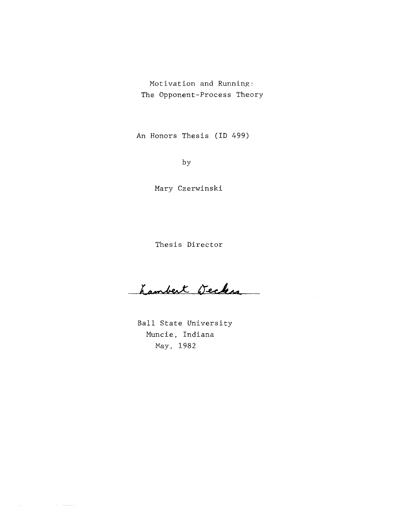Motivation and Running: The Opponent-Process Theory

An Honors Thesis (ID 499)

by

Mary Czerwinski

Thesis Director

hambert Wecker

Ball State University Muncie, Indiana May, 1982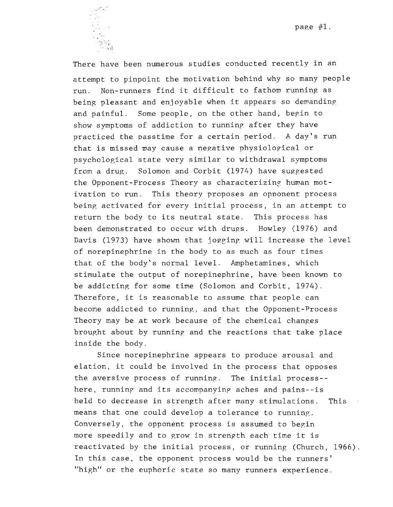page #1 .



There have been numerous studies conducted recently in an attempt to pinpoint the motivation behind why so many people run. Non-runners find it difficult to fathom running as being pleasant and enjoyable when it appears so demanding and painful. Some people, on the other hand, begin to show symptoms of addiction to running after they have practiced the passtime for a certain period. A day's run that is missed may cause a negative physiological or psychological state very similar to withdrawal symptoms from a drug. Solomon and Corbit (1974) have suggested the Opponent-Process Theory as characterizing human motivation to run. This theory proposes an opponent process being activated for every initial process, in an attempt to return the body to its neutral state. This process has been demonstrated to occur with drugs. Howley (1976) and Davis (1973) have shown that jogging will increase the level of norepinephrine in the body to as much as four times that of the body's normal level. Amphetamines, which stimulate the output of norepinephrine, have been known to be addicting for some time (Solomon and Corbit, 1974). Therefore, it is reasonable to assume that people can become addicted to running, and that the Opponent-Process Theory may be at work because of the chemical changes brought about by running and the reactions that take place inside the body.

Since norepinephrine appears to produce arousal and elation, it could be involved in the process that opposes the aversive process of running. The initial process-here, running and its accompanying aches and pains--is held to decrease in strength after many stimulations. This means that one could develop a tolerance to running. Conversely, the opponent process is assumed to begin more speedily and to grow in strength each time it is reactivated by the initial process, or running (Church, 1966). In this case, the opponent process would be the runners' "high" or the euphoric state so many runners experience.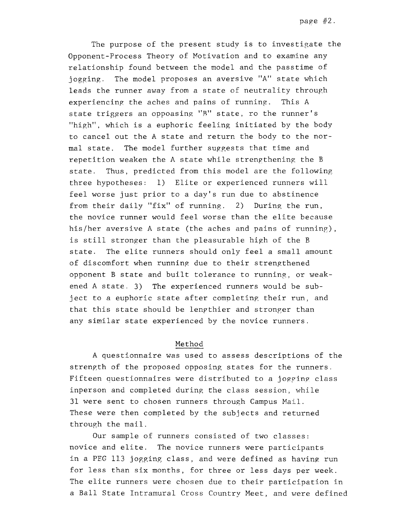The purpose of the present study is to investigate the Opponent-Process Theory of Motivation and to examine any relationship found between the model and the passtime of jogging. The model proposes an aversive "A" state which leads the runner away from a state of neutrality through experiencing the aches and pains of running. This A state triggers an oppoasing "B" state, ro the runner's "high", which is a euphoric feeling initiated by the body to cancel out the A state and return the body to the normal state. The model further suggests that time and repetition weaken the A state while strengthening the B state. Thus, predicted from this model are the following three hypotheses: 1) Elite or experienced runners will feel worse just prior to a day's run due to abstinence from their daily "fix" of running. 2) During the run, the novice runner would feel worse than the elite because his/her aversive A state (the aches and pains of running), is still stronger than the pleasurable high of the B state. The elite runners should only feel a small amount of discomfort when running due to their strengthened opponent B state and built tolerance to running, or weakened A state. 3) The experienced runners would be subject to a euphoric state after completing their run, and that this state should be lengthier and stronger than any similar state experienced by the novice runners.

### Method

A questionnaire was used to assess descriptions of the strength of the proposed opposing states for the runners. Fifteen questionnaires were distributed to a jogging class inperson and completed during the class session, while 31 were sent to chosen runners through Campus Mail. These were then completed by the subjects and returned through the mail.

Our sample of runners consisted of two classes: novice and elite. The novice runners were participants in a PEG 113 jogging class, and were defined as having run for less than six months, for three or less days per week. The elite runners were chosen due to their participation in a Ball State Intramural Cross Country Meet, and were defined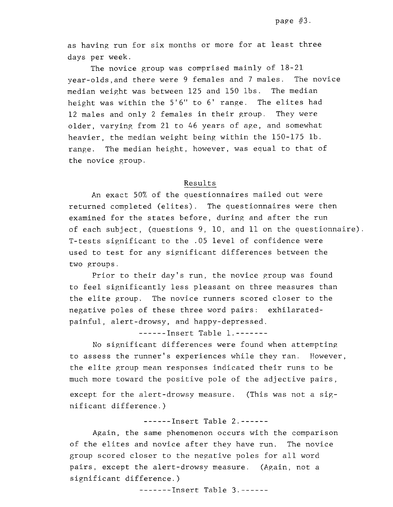as having run for six months or more for at least three days per week.

The novice group was comprised mainly of 18-21 year-olds,and there were 9 females and 7 males. The novice median weight was between 125 and 150 lbs. The median height was within the 5'6" to 6' range. The elites had 12 males and only 2 females in their group. They were older, varying from 21 to 46 years of age, and somewhat heavier, the median weight being within the 150-175 lb. range. The median height, however, was equal to that of the novice group.

#### Results

An exact 50% of the questionnaires mailed out were returned completed (elites). The questionnaires were then examined for the states before, during and after the run of each subject, (questions 9, 10, and 11 on the questionnaire). T-tests significant to the .05 level of confidence were used to test for any significant differences between the two groups.

Prior to their day's run, the novice group was found to feel significantly less pleasant on three measures than the elite group. The novice runners scored closer to the negative poles of these three word pairs: exhilaratedpainful, alert-drowsy, and happy-depressed.

------Insert Table 1.-------

No significant differences were found when attempting to assess the runner's experiences while they ran. However, the elite group mean responses indicated their runs to be much more toward the positive pole of the adjective pairs, except for the alert-drowsy measure. (This was not a sig nificant difference.)

### ------Insert Table 2.------

Again, the same phenomenon occurs with the comparison of the elites and novice after they have run. The novice group scored closer to the negative poles for all word pairs, except the alert-drowsy measure. (Again, not a significant difference.)

-------Insert Table 3.------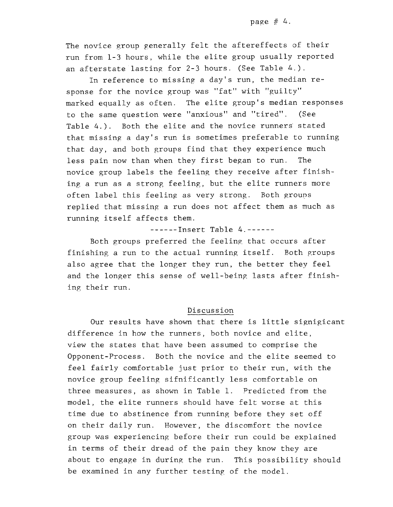The novice group generally felt the aftereffects of their run from 1-3 hours, while the elite group usually reported an afterstate lasting for 2-3 hours. (See Table 4.).

In reference to missing a day's run, the median response for the novice group was "fat" with "guilty" marked equally as often. The elite group's median responses to the same question were "anxious" and "tired". (See Table 4.). Both the elite and the novice runners stated that missing a day's run is sometimes preferable to running that day, and both groups find that they experience much less pain now than when they first began to run. The novice group labels the feeling they receive after finishing a run as a strong feeling, but the elite runners more often label this feeling as very strong. Both grouns replied that missing a run does not affect them as much as running itself affects them.

------Insert Table 4.------

Both groups preferred the feeling that occurs after finishing a run to the actual running itself. Both groups also agree that the longer they run, the better they feel and the longer this sense of well-being lasts after finishing their run.

### Discussion

Our results have shown that there is little signigicant difference in how the runners, both novice and elite, view the states that have been assumed to comprise the Opponent-Process. Both the novice and the elite seemed to feel fairly comfortable just prior to their run, with the novice group feeling sifnificantly less comfortable on three measures, as shown in Table 1. Predicted from the model, the elite runners should have felt worse at this time due to abstinence from running before they set off on their daily run. However, the discomfort the novice group was experiencing before their run could be explained in terms of their dread of the pain they know they are about to engage in during the run. This possibility should be examined in any further testing of the model.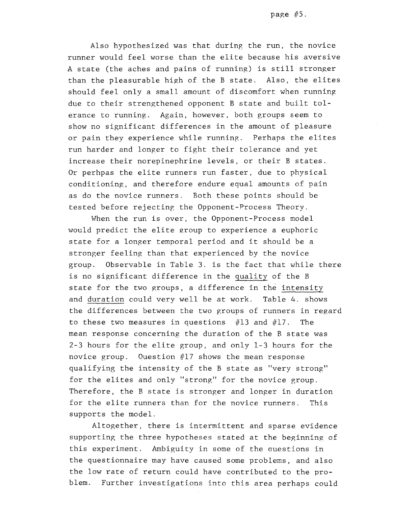Also hypothesized was that during the run, the novice runner would feel worse than the elite because his aversive A state (the aches and pains of running) is still stronger than the pleasurable high of the B state. Also, the elites should feel only a small amount of discomfort when running: due to their strengthened opponent B state and built tolerance to running. Again, however, both groups seem to show no significant differences in the amount of pleasure or pain they experience while running. Perhaps the elites run harder and longer to fight their tolerance and yet increase their norepinephrine levels, or their B states. Or perhpas the elite runners run faster, due to physical conditioning, and therefore endure equal amounts of pain as do the novice runners. Both these points should be tested before rejecting the Opponent-Process Theory.

When the run is over, the Opponent-Process model would predict the elite group to experience a euphoric state for a longer temporal period and it should be a stronger feeling than that experienced by the novice group. Observable in Table 3. is the fact that while there is no significant difference in the quality of the B state for the two groups, a difference in the intensity and duration could very well be at work. Table 4. shows the differences between the two groups of runners in regard to these two measures in questions  $#13$  and  $#17$ . The mean response concerning the duration of the B state was 2-3 hours for the elite group, and only 1-3 hours for the novice group. Ouestion  $#17$  shows the mean response qualifying the intensity of the B state as "very strong" for the elites and only "strong" for the novice group. Therefore, the B state is stronger and longer in duration for the elite runners than for the novice runners. This supports the model.

Altogether, there is intermittent and sparse evidence supporting the three hypotheses stated at the beginning of this experiment. Ambiguity in some of the auestions in the questionnaire may have caused some problems, and also the low rate of return could have contributed to the problem. Further investigations into this area perhaps could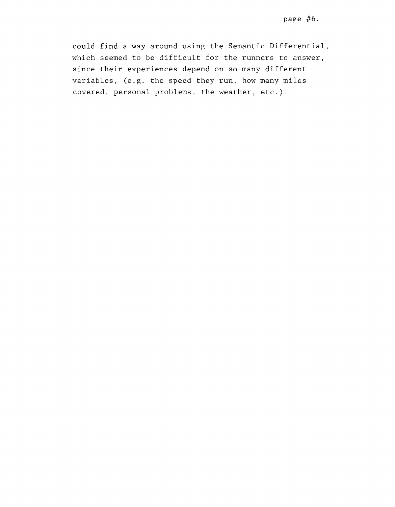$\bar{z}$ 

could find a way around using the Semantic Differential, which seemed to be difficult for the runners to answer, since their experiences depend on so many different variables, (e.g. the speed they run, how many miles covered, personal problems, the weather, etc.).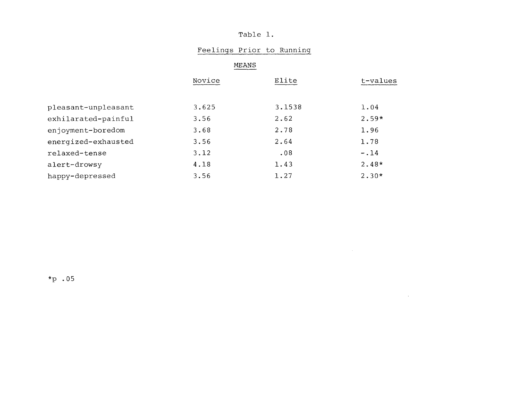# Table 1.

## Feelings Prior to Running

 $\mathcal{L}^{\mathcal{L}}(\mathcal{L}^{\mathcal{L}}(\mathcal{L}^{\mathcal{L}}))$ 

## MEANS

|                     | Novice | Elite  | t-values |
|---------------------|--------|--------|----------|
|                     |        |        |          |
| pleasant-unpleasant | 3.625  | 3.1538 | 1.04     |
| exhilarated-painful | 3.56   | 2.62   | $2.59*$  |
| enjoyment-boredom   | 3.68   | 2.78   | 1.96     |
| energized-exhausted | 3.56   | 2.64   | 1.78     |
| relaxed-tense       | 3.12   | .08    | $-.14$   |
| alert-drowsy        | 4.18   | 1.43   | $2.48*$  |
| happy-depressed     | 3.56   | 1.27   | $2.30*$  |

\*p .05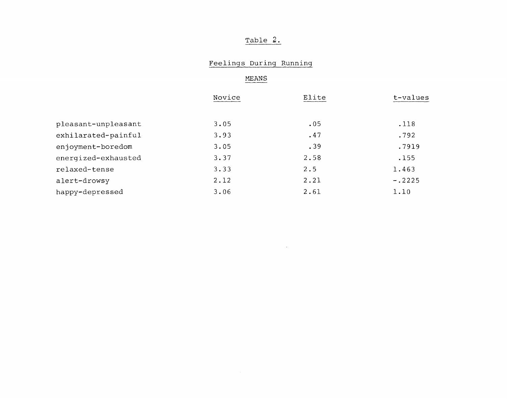# Table 2.

# Feelings During Running

 $\sim$ 

HEANS

|                     | Novice | Elite | t-values |
|---------------------|--------|-------|----------|
|                     |        |       |          |
| pleasant-unpleasant | 3.05   | .05   | .118     |
| exhilarated-painful | 3.93   | .47   | .792     |
| enjoyment-boredom   | 3.05   | .39   | .7919    |
| energized-exhausted | 3.37   | 2.58  | .155     |
| relaxed-tense       | 3.33   | 2.5   | 1.463    |
| alert-drowsy        | 2.12   | 2.21  | $-.2225$ |
| happy-depressed     | 3.06   | 2.61  | 1.10     |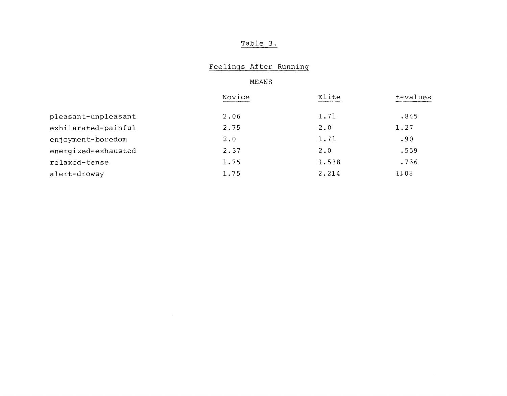## Table 3.

### Feelings After Running

MEANS

|                     | Novice | Elite       | t-values |
|---------------------|--------|-------------|----------|
| pleasant-unpleasant | 2.06   | 1.71        | .845     |
| exhilarated-painful | 2.75   | $2 \cdot 0$ | 1.27     |
| enjoyment-boredom   | 2.0    | 1.71        | .90      |
| energized-exhausted | 2.37   | 2.0         | .559     |
| relaxed-tense       | 1.75   | 1.538       | .736     |
| alert-drowsy        | 1.75   | 2.214       | 1108     |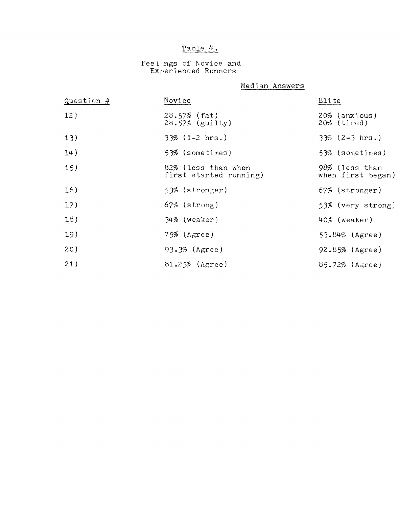# Table **4.**

### Feelings of Novice and Experienced Runners

Median Answers

| Question $#$ | Novice                                        | Elite                              |
|--------------|-----------------------------------------------|------------------------------------|
| 12)          | $28.57\%$ (fat)<br>28.57% (guilty)            | 20% (anxious)<br>$20\%$ (tired)    |
| 13)          | $33\%$ (1-2 hrs.)                             | $33\%$ (2-3 hrs.)                  |
| 14)          | 53% (sometimes)                               | 53% (sometimes)                    |
| 15)          | 82% (less than when<br>first started running) | 98% (less than<br>when first began |
| 16)          | 53% (stronger)                                | 67% (stronger)                     |
| 17)          | $67\%$ (strong)                               | 53% (very strong                   |
| 18)          | $34\%$ (weaker)                               | 40% (weaker)                       |
| 19)          | $75%$ (Agree)                                 | $53.84\%$ (Agree)                  |
| 20)          | 93.3% (Agree)                                 | $92.85%$ (Agree)                   |
| 21)          | $81.25%$ (Agree)                              | $85.72\%$ (Agree)                  |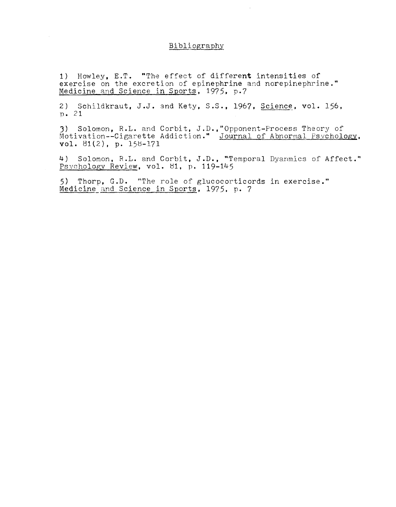### Bibliography

1) Howley, E.T. "The effect of different intensities of exercise on the excretion of epinephrine and norepinephrine." Medicine and Science in Sports, 1975, p.7

2) Schildkraut, J.J. and Kety, S.S., 1967, Science, vol. 156, p. 21

J) Solomon, R.L. and Corbit, J.D. ,"Opponent-Process Theory of Motivation--Cigarette Addiction." Journal of Abnormal Psychology, vol. 81(2), p. 158-171

4) Solomon, R.L. and Corbit, J.D., "Temporal Dyanmics of Affect." Psychology Review, vol. 81, p. 119-145

5) Thorp, G.D. "The role of glucocorticords in exercise." Medicine and Science in Sports, 1975. p. 7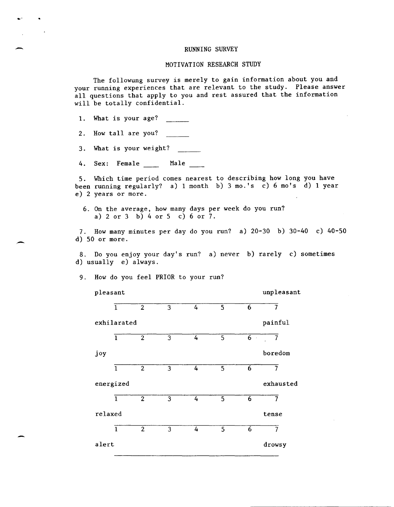#### RUNNING SURVEY

#### MOTIVATION RESEARCH STUDY

The followung survey is merely to gain information about you and your running experiences that are relevant to the study. Please answer all questions that apply to you and rest assured that the information will be totally confidential.

1. What is your age?

-

-

2. How tall are you?

3. What is your weight?

4. Sex: Female Male

5. Which time period comes nearest to describing how long you have been running regularly? a) 1 month b) 3 mo.'s c) 6 mo's d) 1 year e) 2 years or more.

6. On the average, how many days per week do you run? a) 2 or 3 b) 4 or 5 c) 6 or 7.

7. How many minutes per day do you run? a) 20-30 b) 30-40 c) 40-50 d) 50 or more.

8. Do you enjoy your day's run? a) never b) rarely c) sometimes d) usually e) always.

9. How do you feel PRIOR to your run?

pleasant unpleasant 1 2 3 4 5 6 7 exhilarated painful 1 2 3 4 5 6 7 joy boredom 1 2 3 4 5 6 7 energized exhausted 1 2 3 4 5 6 7 relaxed tense 1 2 3 4 5 6 7 alert drowsy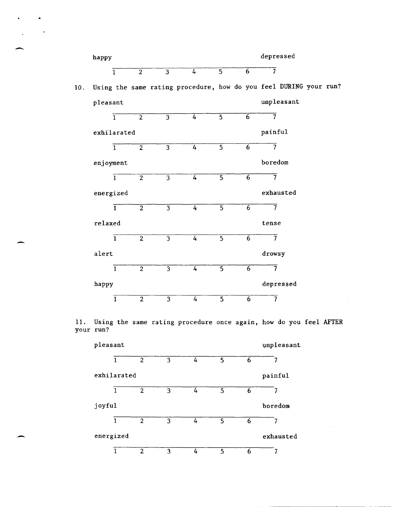